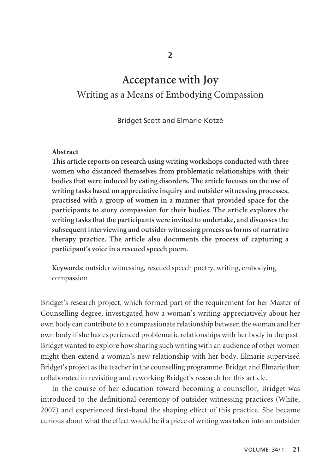# **Acceptance with Joy** Writing as a Means of Embodying Compassion

Bridget Scott and Elmarie Kotzé

## **Abstract**

**This article reports on research using writing workshops conducted with three women who distanced themselves from problematic relationships with their bodies that were induced by eating disorders. The article focuses on the use of writing tasks based on appreciative inquiry and outsider witnessing processes, practised with a group of women in a manner that provided space for the participants to story compassion for their bodies. The article explores the writing tasks that the participants were invited to undertake, and discusses the subsequent interviewing and outsider witnessing process as forms of narrative therapy practice. The article also documents the process of capturing a participant's voice in a rescued speech poem.** 

**Keywords:** outsider witnessing, rescued speech poetry, writing, embodying compassion

Bridget's research project, which formed part of the requirement for her Master of Counselling degree, investigated how a woman's writing appreciatively about her own body can contribute to a compassionate relationship between the woman and her own body if she has experienced problematic relationships with her body in the past. Bridget wanted to explore how sharing such writing with an audience of other women might then extend a woman's new relationship with her body. Elmarie supervised Bridget's project as the teacher in the counselling programme. Bridget and Elmarie then collaborated in revisiting and reworking Bridget's research for this article.

In the course of her education toward becoming a counsellor, Bridget was introduced to the definitional ceremony of outsider witnessing practices (White, 2007) and experienced first-hand the shaping effect of this practice. She became curious about what the effect would be if a piece of writing was taken into an outsider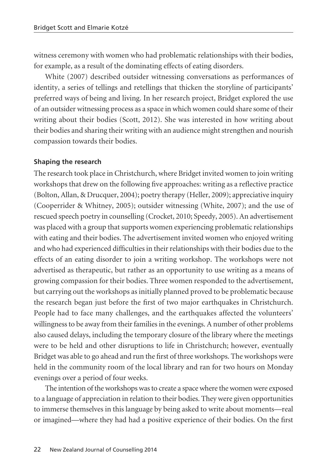witness ceremony with women who had problematic relationships with their bodies, for example, as a result of the dominating effects of eating disorders.

White (2007) described outsider witnessing conversations as performances of identity, a series of tellings and retellings that thicken the storyline of participants' preferred ways of being and living. In her research project, Bridget explored the use of an outsider witnessing process as a space in which women could share some of their writing about their bodies (Scott, 2012). She was interested in how writing about their bodies and sharing their writing with an audience might strengthen and nourish compassion towards their bodies.

## **Shaping the research**

The research took place in Christchurch, where Bridget invited women to join writing workshops that drew on the following five approaches: writing as a reflective practice (Bolton, Allan, & Drucquer, 2004); poetry therapy (Heller, 2009); appreciative inquiry (Cooperrider & Whitney, 2005); outsider witnessing (White, 2007); and the use of rescued speech poetry in counselling (Crocket, 2010; Speedy, 2005). An advertisement was placed with a group that supports women experiencing problematic relationships with eating and their bodies. The advertisement invited women who enjoyed writing and who had experienced difficulties in their relationships with their bodies due to the effects of an eating disorder to join a writing workshop. The workshops were not advertised as therapeutic, but rather as an opportunity to use writing as a means of growing compassion for their bodies. Three women responded to the advertisement, but carrying out the workshops as initially planned proved to be problematic because the research began just before the first of two major earthquakes in Christchurch. People had to face many challenges, and the earthquakes affected the volunteers' willingness to be away from their families in the evenings. A number of other problems also caused delays, including the temporary closure of the library where the meetings were to be held and other disruptions to life in Christchurch; however, eventually Bridget was able to go ahead and run the first of three workshops. The workshops were held in the community room of the local library and ran for two hours on Monday evenings over a period of four weeks.

The intention of the workshops was to create a space where the women were exposed to a language of appreciation in relation to their bodies. They were given opportunities to immerse themselves in this language by being asked to write about moments—real or imagined—where they had had a positive experience of their bodies. On the first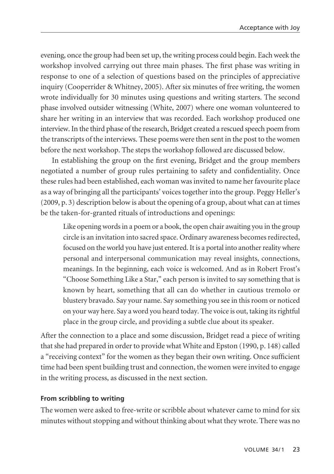evening, once the group had been set up, the writing process could begin. Each week the workshop involved carrying out three main phases. The first phase was writing in response to one of a selection of questions based on the principles of appreciative inquiry (Cooperrider & Whitney, 2005). After six minutes of free writing, the women wrote individually for 30 minutes using questions and writing starters. The second phase involved outsider witnessing (White, 2007) where one woman volunteered to share her writing in an interview that was recorded. Each workshop produced one interview. In the third phase of the research, Bridget created a rescued speech poem from the transcripts of the interviews. These poems were then sent in the post to the women before the next workshop. The steps the workshop followed are discussed below.

In establishing the group on the first evening, Bridget and the group members negotiated a number of group rules pertaining to safety and confidentiality. Once these rules had been established, each woman was invited to name her favourite place as a way of bringing all the participants' voices together into the group. Peggy Heller's (2009, p. 3) description below is about the opening of a group, about what can at times be the taken-for-granted rituals of introductions and openings:

Like opening words in a poem or a book, the open chair awaiting you in the group circle is an invitation into sacred space. Ordinary awareness becomes redirected, focused on the world you have just entered. It is a portal into another reality where personal and interpersonal communication may reveal insights, connections, meanings. In the beginning, each voice is welcomed. And as in Robert Frost's "Choose Something Like a Star," each person is invited to say something that is known by heart, something that all can do whether in cautious tremolo or blustery bravado. Say your name. Say something you see in this room or noticed on your way here. Say a word you heard today. The voice is out, taking its rightful place in the group circle, and providing a subtle clue about its speaker.

After the connection to a place and some discussion, Bridget read a piece of writing that she had prepared in order to provide what White and Epston (1990, p. 148) called a "receiving context" for the women as they began their own writing. Once sufficient time had been spent building trust and connection, the women were invited to engage in the writing process, as discussed in the next section.

## **From scribbling to writing**

The women were asked to free-write or scribble about whatever came to mind for six minutes without stopping and without thinking about what they wrote. There was no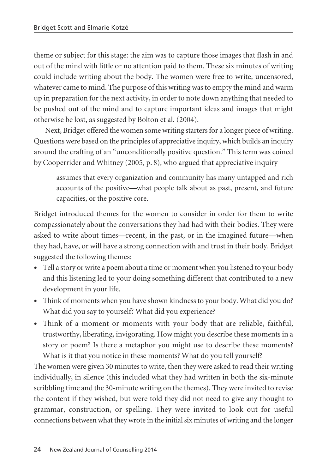theme or subject for this stage: the aim was to capture those images that flash in and out of the mind with little or no attention paid to them. These six minutes of writing could include writing about the body. The women were free to write, uncensored, whatever came to mind. The purpose of this writing was to empty the mind and warm up in preparation for the next activity, in order to note down anything that needed to be pushed out of the mind and to capture important ideas and images that might otherwise be lost, as suggested by Bolton et al. (2004).

Next, Bridget offered the women some writing starters for a longer piece of writing. Questions were based on the principles of appreciative inquiry, which builds an inquiry around the crafting of an "unconditionally positive question." This term was coined by Cooperrider and Whitney (2005, p. 8), who argued that appreciative inquiry

assumes that every organization and community has many untapped and rich accounts of the positive—what people talk about as past, present, and future capacities, or the positive core.

Bridget introduced themes for the women to consider in order for them to write compassionately about the conversations they had had with their bodies. They were asked to write about times—recent, in the past, or in the imagined future—when they had, have, or will have a strong connection with and trust in their body. Bridget suggested the following themes:

- Tell a story or write a poem about a time or moment when you listened to your body and this listening led to your doing something different that contributed to a new development in your life.
- Think of moments when you have shown kindness to your body. What did you do? What did you say to yourself? What did you experience?
- Think of a moment or moments with your body that are reliable, faithful, trustworthy, liberating, invigorating. How might you describe these moments in a story or poem? Is there a metaphor you might use to describe these moments? What is it that you notice in these moments? What do you tell yourself?

The women were given 30 minutes to write, then they were asked to read their writing individually, in silence (this included what they had written in both the six-minute scribbling time and the 30-minute writing on the themes). They were invited to revise the content if they wished, but were told they did not need to give any thought to grammar, construction, or spelling. They were invited to look out for useful connections between what they wrote in the initial six minutes of writing and the longer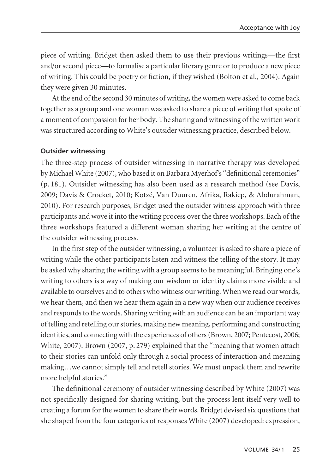piece of writing. Bridget then asked them to use their previous writings—the first and/or second piece—to formalise a particular literary genre or to produce a new piece of writing. This could be poetry or fiction, if they wished (Bolton et al., 2004). Again they were given 30 minutes.

At the end of the second 30 minutes of writing, the women were asked to come back together as a group and one woman was asked to share a piece of writing that spoke of a moment of compassion for her body. The sharing and witnessing of the written work was structured according to White's outsider witnessing practice, described below.

## **Outsider witnessing**

The three-step process of outsider witnessing in narrative therapy was developed by Michael White (2007), who based it on Barbara Myerhof's "definitional ceremonies" (p. 181). Outsider witnessing has also been used as a research method (see Davis, 2009; Davis & Crocket, 2010; Kotzé, Van Duuren, Afrika, Rakiep, & Abdurahman, 2010). For research purposes, Bridget used the outsider witness approach with three participants and wove it into the writing process over the three workshops. Each of the three workshops featured a different woman sharing her writing at the centre of the outsider witnessing process.

In the first step of the outsider witnessing, a volunteer is asked to share a piece of writing while the other participants listen and witness the telling of the story. It may be asked why sharing the writing with a group seems to be meaningful. Bringing one's writing to others is a way of making our wisdom or identity claims more visible and available to ourselves and to others who witness our writing. When we read our words, we hear them, and then we hear them again in a new way when our audience receives and responds to the words. Sharing writing with an audience can be an important way of telling and retelling our stories, making new meaning, performing and constructing identities, and connecting with the experiences of others (Brown, 2007; Pentecost, 2006; White, 2007). Brown (2007, p. 279) explained that the "meaning that women attach to their stories can unfold only through a social process of interaction and meaning making…we cannot simply tell and retell stories. We must unpack them and rewrite more helpful stories."

The definitional ceremony of outsider witnessing described by White (2007) was not specifically designed for sharing writing, but the process lent itself very well to creating a forum for the women to share their words. Bridget devised six questions that she shaped from the four categories of responses White (2007) developed: expression,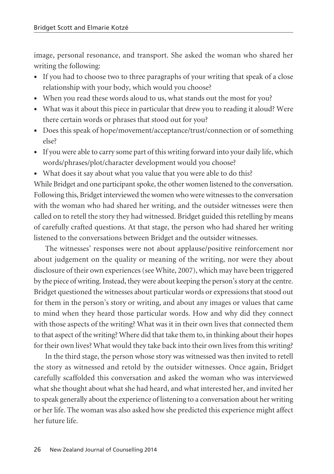image, personal resonance, and transport. She asked the woman who shared her writing the following:

- If you had to choose two to three paragraphs of your writing that speak of a close relationship with your body, which would you choose?
- When you read these words aloud to us, what stands out the most for you?
- What was it about this piece in particular that drew you to reading it aloud? Were there certain words or phrases that stood out for you?
- Does this speak of hope/movement/acceptance/trust/connection or of something else?
- If you were able to carry some part of this writing forward into your daily life, which words/phrases/plot/character development would you choose?
- What does it say about what you value that you were able to do this?

While Bridget and one participant spoke, the other women listened to the conversation. Following this, Bridget interviewed the women who were witnesses to the conversation with the woman who had shared her writing, and the outsider witnesses were then called on to retell the story they had witnessed. Bridget guided this retelling by means of carefully crafted questions. At that stage, the person who had shared her writing listened to the conversations between Bridget and the outsider witnesses.

The witnesses' responses were not about applause/positive reinforcement nor about judgement on the quality or meaning of the writing, nor were they about disclosure of their own experiences (see White, 2007), which may have been triggered by the piece of writing. Instead, they were about keeping the person's story at the centre. Bridget questioned the witnesses about particular words or expressions that stood out for them in the person's story or writing, and about any images or values that came to mind when they heard those particular words. How and why did they connect with those aspects of the writing? What was it in their own lives that connected them to that aspect of the writing? Where did that take them to, in thinking about their hopes for their own lives? What would they take back into their own lives from this writing?

In the third stage, the person whose story was witnessed was then invited to retell the story as witnessed and retold by the outsider witnesses. Once again, Bridget carefully scaffolded this conversation and asked the woman who was interviewed what she thought about what she had heard, and what interested her, and invited her to speak generally about the experience of listening to a conversation about her writing or her life. The woman was also asked how she predicted this experience might affect her future life.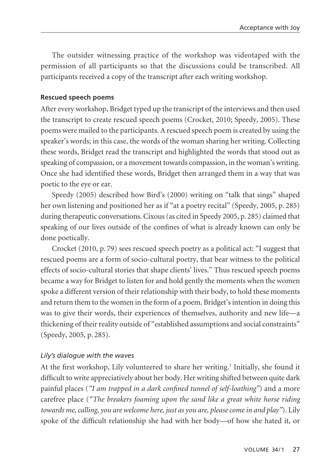The outsider witnessing practice of the workshop was videotaped with the permission of all participants so that the discussions could be transcribed. All participants received a copy of the transcript after each writing workshop.

## **Rescued speech poems**

After every workshop, Bridget typed up the transcript of the interviews and then used the transcript to create rescued speech poems (Crocket, 2010; Speedy, 2005). These poems were mailed to the participants. A rescued speech poem is created by using the speaker's words; in this case, the words of the woman sharing her writing. Collecting these words, Bridget read the transcript and highlighted the words that stood out as speaking of compassion, or a movement towards compassion, in the woman's writing. Once she had identified these words, Bridget then arranged them in a way that was poetic to the eye or ear.

Speedy (2005) described how Bird's (2000) writing on "talk that sings" shaped her own listening and positioned her as if "at a poetry recital" (Speedy, 2005, p. 285) during therapeutic conversations. Cixous (as cited in Speedy 2005, p. 285) claimed that speaking of our lives outside of the confines of what is already known can only be done poetically.

Crocket (2010, p. 79) sees rescued speech poetry as a political act: "I suggest that rescued poems are a form of socio-cultural poetry, that bear witness to the political effects of socio-cultural stories that shape clients' lives." Thus rescued speech poems became a way for Bridget to listen for and hold gently the moments when the women spoke a different version of their relationship with their body, to hold these moments and return them to the women in the form of a poem. Bridget's intention in doing this was to give their words, their experiences of themselves, authority and new life—a thickening of their reality outside of "established assumptions and social constraints" (Speedy, 2005, p. 285).

## *Lily's dialogue with the waves*

At the first workshop, Lily volunteered to share her writing.<sup>1</sup> Initially, she found it difficult to write appreciatively about her body. Her writing shifted between quite dark painful places (*"I am trapped in a dark confined tunnel of self-loathing"*) and a more carefree place (*"The breakers foaming upon the sand like a great white horse riding towards me, calling, you are welcome here, just as you are, please come in and play"*). Lily spoke of the difficult relationship she had with her body—of how she hated it, or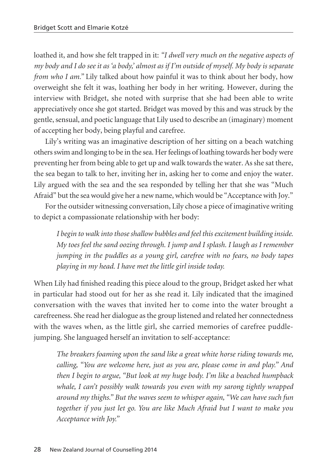loathed it, and how she felt trapped in it: *"I dwell very much on the negative aspects of my body and I do see it as 'a body,' almost as if I'm outside of myself. My body is separate from who I am."* Lily talked about how painful it was to think about her body, how overweight she felt it was, loathing her body in her writing. However, during the interview with Bridget, she noted with surprise that she had been able to write appreciatively once she got started. Bridget was moved by this and was struck by the gentle, sensual, and poetic language that Lily used to describe an (imaginary) moment of accepting her body, being playful and carefree.

Lily's writing was an imaginative description of her sitting on a beach watching others swim and longing to be in the sea. Her feelings of loathing towards her body were preventing her from being able to get up and walk towards the water. As she sat there, the sea began to talk to her, inviting her in, asking her to come and enjoy the water. Lily argued with the sea and the sea responded by telling her that she was "Much Afraid" but the sea would give her a new name, which would be "Acceptance with Joy."

For the outsider witnessing conversation, Lily chose a piece of imaginative writing to depict a compassionate relationship with her body:

*I begin to walk into those shallow bubbles and feel this excitement building inside. My toes feel the sand oozing through. I jump and I splash. I laugh as I remember jumping in the puddles as a young girl, carefree with no fears, no body tapes playing in my head. I have met the little girl inside today.*

When Lily had finished reading this piece aloud to the group, Bridget asked her what in particular had stood out for her as she read it. Lily indicated that the imagined conversation with the waves that invited her to come into the water brought a carefreeness. She read her dialogue as the group listened and related her connectedness with the waves when, as the little girl, she carried memories of carefree puddlejumping. She languaged herself an invitation to self-acceptance:

*The breakers foaming upon the sand like a great white horse riding towards me, calling, "You are welcome here, just as you are, please come in and play." And then I begin to argue, "But look at my huge body. I'm like a beached humpback whale, I can't possibly walk towards you even with my sarong tightly wrapped around my thighs." But the waves seem to whisper again, "We can have such fun together if you just let go. You are like Much Afraid but I want to make you Acceptance with Joy."*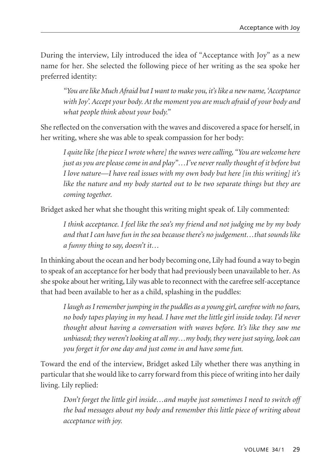During the interview, Lily introduced the idea of "Acceptance with Joy" as a new name for her. She selected the following piece of her writing as the sea spoke her preferred identity:

*"You are like Much Afraid but I want to make you, it's like a new name, 'Acceptance with Joy'. Accept your body. At the moment you are much afraid of your body and what people think about your body."*

She reflected on the conversation with the waves and discovered a space for herself, in her writing, where she was able to speak compassion for her body:

*I quite like [the piece I wrote where] the waves were calling, "You are welcome here just as you are please come in and play"…I've never really thought of it before but I love nature—I have real issues with my own body but here [in this writing] it's like the nature and my body started out to be two separate things but they are coming together.*

Bridget asked her what she thought this writing might speak of. Lily commented:

*I think acceptance. I feel like the sea's my friend and not judging me by my body and that I can have fun in the sea because there's no judgement…that sounds like a funny thing to say, doesn't it…*

In thinking about the ocean and her body becoming one, Lily had found a way to begin to speak of an acceptance for her body that had previously been unavailable to her. As she spoke about her writing, Lily was able to reconnect with the carefree self-acceptance that had been available to her as a child, splashing in the puddles:

*I laugh as I remember jumping in the puddles as a young girl, carefree with no fears, no body tapes playing in my head. I have met the little girl inside today. I'd never thought about having a conversation with waves before. It's like they saw me unbiased; they weren't looking at all my…my body, they were just saying, look can you forget it for one day and just come in and have some fun.*

Toward the end of the interview, Bridget asked Lily whether there was anything in particular that she would like to carry forward from this piece of writing into her daily living. Lily replied:

*Don't forget the little girl inside…and maybe just sometimes I need to switch off the bad messages about my body and remember this little piece of writing about acceptance with joy.*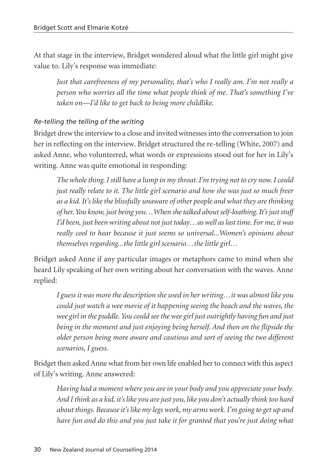At that stage in the interview, Bridget wondered aloud what the little girl might give value to. Lily's response was immediate:

*Just that carefreeness of my personality, that's who I really am. I'm not really a person who worries all the time what people think of me. That's something I've taken on—I'd like to get back to being more childlike.*

# *Re-telling the telling of the writing*

Bridget drew the interview to a close and invited witnesses into the conversation to join her in reflecting on the interview. Bridget structured the re-telling (White, 2007) and asked Anne, who volunteered, what words or expressions stood out for her in Lily's writing. Anne was quite emotional in responding:

*The whole thing. I still have a lump in my throat. I'm trying not to cry now. I could just really relate to it. The little girl scenario and how she was just so much freer as a kid. It's like the blissfully unaware of other people and what they are thinking of her. You know, just being you…When she talked about self-loathing. It's just stuff I'd been, just been writing about not just today…as well as last time. For me, it was really cool to hear because it just seems so universal...Women's opinions about themselves regarding...the little girl scenario…the little girl…*

Bridget asked Anne if any particular images or metaphors came to mind when she heard Lily speaking of her own writing about her conversation with the waves. Anne replied:

*I guess it was more the description she used in her writing…it was almost like you could just watch a wee movie of it happening seeing the beach and the waves, the wee girl in the puddle. You could see the wee girl just outrightly having fun and just being in the moment and just enjoying being herself. And then on the flipside the older person being more aware and cautious and sort of seeing the two different scenarios, I guess.* 

Bridget then asked Anne what from her own life enabled her to connect with this aspect of Lily's writing. Anne answered:

*Having had a moment where you are in your body and you appreciate your body. And I think as a kid, it's like you are just you, like you don't actually think too hard about things. Because it's like my legs work, my arms work. I'm going to get up and have fun and do this and you just take it for granted that you're just doing what*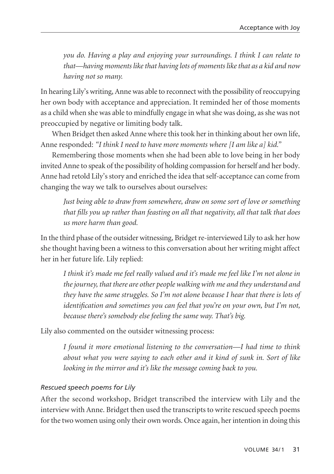*you do. Having a play and enjoying your surroundings. I think I can relate to that—having moments like that having lots of moments like that as a kid and now having not so many.*

In hearing Lily's writing, Anne was able to reconnect with the possibility of reoccupying her own body with acceptance and appreciation. It reminded her of those moments as a child when she was able to mindfully engage in what she was doing, as she was not preoccupied by negative or limiting body talk.

When Bridget then asked Anne where this took her in thinking about her own life, Anne responded: *"I think I need to have more moments where [I am like a] kid."*

Remembering those moments when she had been able to love being in her body invited Anne to speak of the possibility of holding compassion for herself and her body. Anne had retold Lily's story and enriched the idea that self-acceptance can come from changing the way we talk to ourselves about ourselves:

*Just being able to draw from somewhere, draw on some sort of love or something that fills you up rather than feasting on all that negativity, all that talk that does us more harm than good.*

In the third phase of the outsider witnessing, Bridget re-interviewed Lily to ask her how she thought having been a witness to this conversation about her writing might affect her in her future life. Lily replied:

*I think it's made me feel really valued and it's made me feel like I'm not alone in the journey, that there are other people walking with me and they understand and they have the same struggles. So I'm not alone because I hear that there is lots of identification and sometimes you can feel that you're on your own, but I'm not, because there's somebody else feeling the same way. That's big.*

Lily also commented on the outsider witnessing process:

*I found it more emotional listening to the conversation—I had time to think about what you were saying to each other and it kind of sunk in. Sort of like looking in the mirror and it's like the message coming back to you.* 

## *Rescued speech poems for Lily*

After the second workshop, Bridget transcribed the interview with Lily and the interview with Anne. Bridget then used the transcripts to write rescued speech poems for the two women using only their own words. Once again, her intention in doing this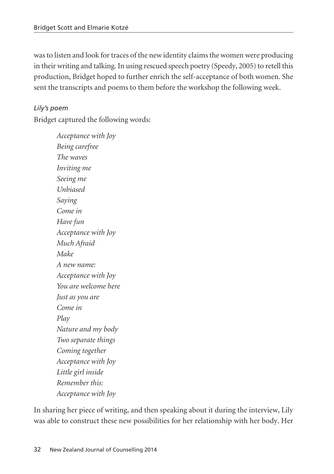was to listen and look for traces of the new identity claims the women were producing in their writing and talking. In using rescued speech poetry (Speedy, 2005) to retell this production, Bridget hoped to further enrich the self-acceptance of both women. She sent the transcripts and poems to them before the workshop the following week.

# *Lily's poem*

Bridget captured the following words:

*Acceptance with Joy Being carefree The waves Inviting me Seeing me Unbiased Saying Come in Have fun Acceptance with Joy Much Afraid Make A new name: Acceptance with Joy You are welcome here Just as you are Come in Play Nature and my body Two separate things Coming together Acceptance with Joy Little girl inside Remember this: Acceptance with Joy*

In sharing her piece of writing, and then speaking about it during the interview, Lily was able to construct these new possibilities for her relationship with her body. Her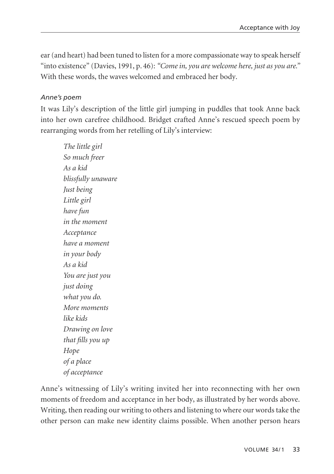ear (and heart) had been tuned to listen for a more compassionate way to speak herself "into existence" (Davies, 1991, p. 46): *"Come in, you are welcome here, just as you are."* With these words, the waves welcomed and embraced her body.

## *Anne's poem*

It was Lily's description of the little girl jumping in puddles that took Anne back into her own carefree childhood. Bridget crafted Anne's rescued speech poem by rearranging words from her retelling of Lily's interview:

*The little girl So much freer As a kid blissfully unaware Just being Little girl have fun in the moment Acceptance have a moment in your body As a kid You are just you just doing what you do. More moments like kids Drawing on love that fills you up Hope of a place of acceptance*

Anne's witnessing of Lily's writing invited her into reconnecting with her own moments of freedom and acceptance in her body, as illustrated by her words above. Writing, then reading our writing to others and listening to where our words take the other person can make new identity claims possible. When another person hears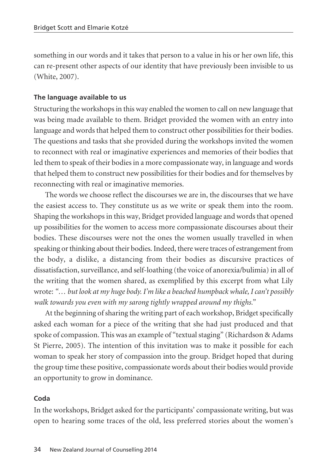something in our words and it takes that person to a value in his or her own life, this can re-present other aspects of our identity that have previously been invisible to us (White, 2007).

#### **The language available to us**

Structuring the workshops in this way enabled the women to call on new language that was being made available to them. Bridget provided the women with an entry into language and words that helped them to construct other possibilities for their bodies. The questions and tasks that she provided during the workshops invited the women to reconnect with real or imaginative experiences and memories of their bodies that led them to speak of their bodies in a more compassionate way, in language and words that helped them to construct new possibilities for their bodies and for themselves by reconnecting with real or imaginative memories.

The words we choose reflect the discourses we are in, the discourses that we have the easiest access to. They constitute us as we write or speak them into the room. Shaping the workshops in this way, Bridget provided language and words that opened up possibilities for the women to access more compassionate discourses about their bodies. These discourses were not the ones the women usually travelled in when speaking or thinking about their bodies. Indeed, there were traces of estrangement from the body, a dislike, a distancing from their bodies as discursive practices of dissatisfaction, surveillance, and self-loathing (the voice of anorexia/bulimia) in all of the writing that the women shared, as exemplified by this excerpt from what Lily wrote: *"… but look at my huge body. I'm like a beached humpback whale, I can't possibly walk towards you even with my sarong tightly wrapped around my thighs."*

At the beginning of sharing the writing part of each workshop, Bridget specifically asked each woman for a piece of the writing that she had just produced and that spoke of compassion. This was an example of "textual staging" (Richardson & Adams St Pierre, 2005). The intention of this invitation was to make it possible for each woman to speak her story of compassion into the group. Bridget hoped that during the group time these positive, compassionate words about their bodies would provide an opportunity to grow in dominance.

#### **Coda**

In the workshops, Bridget asked for the participants' compassionate writing, but was open to hearing some traces of the old, less preferred stories about the women's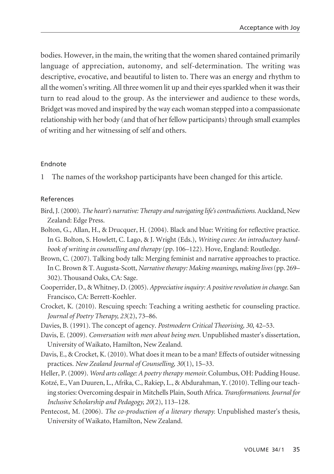bodies. However, in the main, the writing that the women shared contained primarily language of appreciation, autonomy, and self-determination. The writing was descriptive, evocative, and beautiful to listen to. There was an energy and rhythm to all the women's writing. All three women lit up and their eyes sparkled when it was their turn to read aloud to the group. As the interviewer and audience to these words, Bridget was moved and inspired by the way each woman stepped into a compassionate relationship with her body (and that of her fellow participants) through small examples of writing and her witnessing of self and others.

## Endnote

1 The names of the workshop participants have been changed for this article.

#### References

- Bird, J. (2000). *The heart's narrative: Therapy and navigating life's contradictions*. Auckland, New Zealand: Edge Press.
- Bolton, G., Allan, H., & Drucquer, H. (2004). Black and blue: Writing for reflective practice. In G. Bolton, S. Howlett, C. Lago, & J. Wright (Eds.), *Writing cures: An introductory handbook of writing in counselling and therapy* (pp. 106–122). Hove, England: Routledge.
- Brown, C. (2007). Talking body talk: Merging feminist and narrative approaches to practice. In C. Brown & T. Augusta-Scott, *Narrative therapy: Making meanings, making lives*(pp. 269– 302). Thousand Oaks, CA: Sage.
- Cooperrider, D., & Whitney, D. (2005). *Appreciative inquiry: A positive revolution in change.* San Francisco, CA: Berrett-Koehler.
- Crocket, K. (2010). Rescuing speech: Teaching a writing aesthetic for counseling practice. *Journal of Poetry Therapy, 23*(2), 73–86.
- Davies, B. (1991). The concept of agency. *Postmodern Critical Theorising, 30*, 42–53.
- Davis, E. (2009). *Conversation with men about being men.* Unpublished master's dissertation, University of Waikato, Hamilton, New Zealand.
- Davis, E., & Crocket, K. (2010). What does it mean to be a man? Effects of outsider witnessing practices. *New Zealand Journal of Counselling, 30*(1), 15–33.
- Heller, P. (2009). *Word arts collage: A poetry therapy memoir.* Columbus, OH: Pudding House.
- Kotzé, E., Van Duuren, L., Afrika, C., Rakiep, L., & Abdurahman, Y. (2010). Telling our teaching stories: Overcoming despair in Mitchells Plain, South Africa. *Transformations*. *Journal for Inclusive Scholarship and Pedagogy, 20*(2), 113–128.
- Pentecost, M. (2006). *The co-production of a literary therapy.* Unpublished master's thesis, University of Waikato, Hamilton, New Zealand.